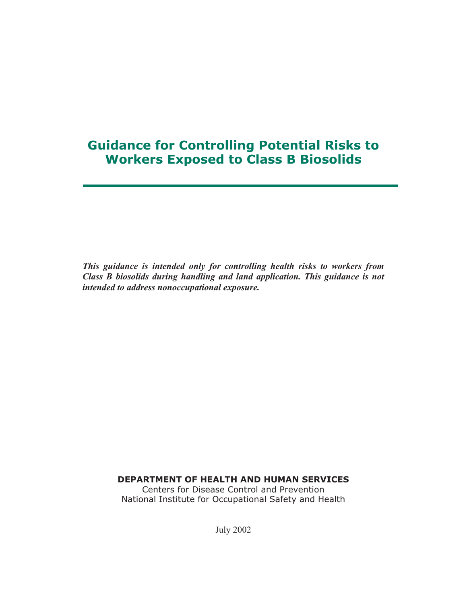# **Guidance for Controlling Potential Risks to Workers Exposed to Class B Biosolids**

*This guidance is intended only for controlling health risks to workers from Class B biosolids during handling and land application. This guidance is not intended to address nonoccupational exposure.*

**DEPARTMENT OF HEALTH AND HUMAN SERVICES**

Centers for Disease Control and Prevention National Institute for Occupational Safety and Health

July 2002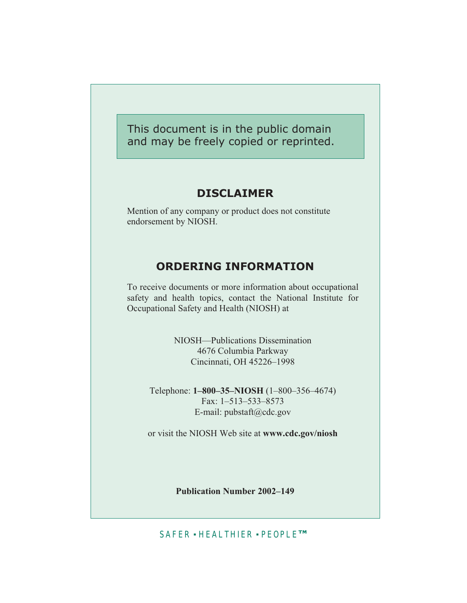This document is in the public domain and may be freely copied or reprinted.

#### **DISCLAIMER**

Mention of any company or product does not constitute endorsement by NIOSH.

### **ORDERING INFORMATION**

To receive documents or more information about occupational safety and health topics, contact the National Institute for Occupational Safety and Health (NIOSH) at

> NIOSH—Publications Dissemination 4676 Columbia Parkway Cincinnati, OH 45226–1998

Telephone: **1–800–35–NIOSH** (1–800–356–4674) Fax: 1–513–533–8573 E-mail: pubstaft@cdc.gov

or visit the NIOSH Web site at **www.cdc.gov/niosh**

**Publication Number 2002–149**

SAFER · HEALTHIER · PEOPLE™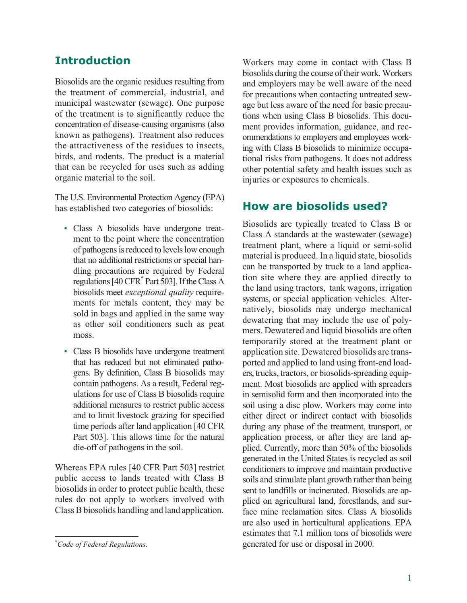### **Introduction**

Biosolids are the organic residues resulting from the treatment of commercial, industrial, and municipal wastewater (sewage). One purpose of the treatment is to significantly reduce the concentration of disease-causing organisms (also known as pathogens). Treatment also reduces the attractiveness of the residues to insects, birds, and rodents. The product is a material that can be recycled for uses such as adding organic material to the soil.

The U.S. Environmental Protection Agency (EPA) has established two categories of biosolids:

- Class A biosolids have undergone treatment to the point where the concentration of pathogens is reduced to levels low enough that no additional restrictions or special handling precautions are required by Federal regulations [40 CFR\* Part 503]. If the Class A biosolids meet *exceptional quality* requirements for metals content, they may be sold in bags and applied in the same way as other soil conditioners such as peat moss.
- Class B biosolids have undergone treatment that has reduced but not eliminated pathogens. By definition, Class B biosolids may contain pathogens. As a result, Federal regulations for use of Class B biosolids require additional measures to restrict public access and to limit livestock grazing for specified time periods after land application [40 CFR Part 503]. This allows time for the natural die-off of pathogens in the soil.

Whereas EPA rules [40 CFR Part 503] restrict public access to lands treated with Class B biosolids in order to protect public health, these rules do not apply to workers involved with Class B biosolids handling and land application.

Workers may come in contact with Class B biosolids during the course of their work. Workers and employers may be well aware of the need for precautions when contacting untreated sewage but less aware of the need for basic precautions when using Class B biosolids. This document provides information, guidance, and recommendations to employers and employees working with Class B biosolids to minimize occupational risks from pathogens. It does not address other potential safety and health issues such as injuries or exposures to chemicals.

#### **How are biosolids used?**

Biosolids are typically treated to Class B or Class A standards at the wastewater (sewage) treatment plant, where a liquid or semi-solid material is produced. In a liquid state, biosolids can be transported by truck to a land application site where they are applied directly to the land using tractors, tank wagons, irrigation systems, or special application vehicles. Alternatively, biosolids may undergo mechanical dewatering that may include the use of polymers. Dewatered and liquid biosolids are often temporarily stored at the treatment plant or application site. Dewatered biosolids are transported and applied to land using front-end loaders, trucks, tractors, or biosolids-spreading equipment. Most biosolids are applied with spreaders in semisolid form and then incorporated into the soil using a disc plow. Workers may come into either direct or indirect contact with biosolids during any phase of the treatment, transport, or application process, or after they are land applied. Currently, more than 50% of the biosolids generated in the United States is recycled as soil conditioners to improve and maintain productive soils and stimulate plant growth rather than being sent to landfills or incinerated. Biosolids are applied on agricultural land, forestlands, and surface mine reclamation sites. Class A biosolids are also used in horticultural applications. EPA estimates that 7.1 million tons of biosolids were generated for use or disposal in 2000.

<sup>\*</sup> *Code of Federal Regulations*.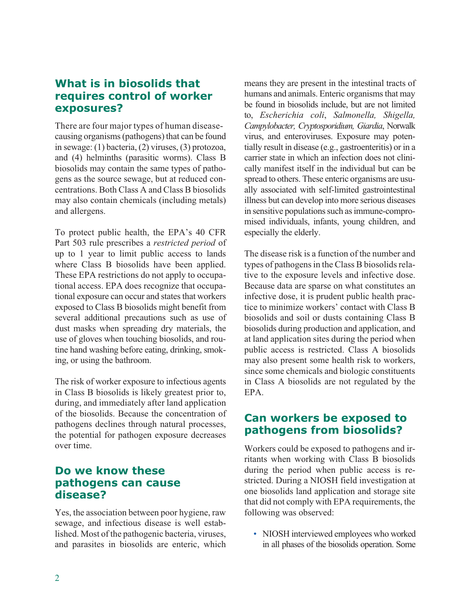### **What is in biosolids that requires control of worker exposures?**

There are four major types of human diseasecausing organisms (pathogens) that can be found in sewage: (1) bacteria, (2) viruses, (3) protozoa, and (4) helminths (parasitic worms). Class B biosolids may contain the same types of pathogens as the source sewage, but at reduced concentrations. Both Class A and Class B biosolids may also contain chemicals (including metals) and allergens.

To protect public health, the EPA's 40 CFR Part 503 rule prescribes a *restricted period* of up to 1 year to limit public access to lands where Class B biosolids have been applied. These EPA restrictions do not apply to occupational access. EPA does recognize that occupational exposure can occur and states that workers exposed to Class B biosolids might benefit from several additional precautions such as use of dust masks when spreading dry materials, the use of gloves when touching biosolids, and routine hand washing before eating, drinking, smoking, or using the bathroom.

The risk of worker exposure to infectious agents in Class B biosolids is likely greatest prior to, during, and immediately after land application of the biosolids. Because the concentration of pathogens declines through natural processes, the potential for pathogen exposure decreases over time.

# **Do we know these pathogens can cause disease?**

Yes, the association between poor hygiene, raw sewage, and infectious disease is well established. Most of the pathogenic bacteria, viruses, and parasites in biosolids are enteric, which means they are present in the intestinal tracts of humans and animals. Enteric organisms that may be found in biosolids include, but are not limited to, *Escherichia coli*, *Salmonella, Shigella, Campylobacter, Cryptosporidium, Giardia*, Norwalk virus, and enteroviruses. Exposure may potentially result in disease (e.g., gastroenteritis) or in a carrier state in which an infection does not clinically manifest itself in the individual but can be spread to others. These enteric organisms are usually associated with self-limited gastrointestinal illness but can develop into more serious diseases in sensitive populations such as immune-compromised individuals, infants, young children, and especially the elderly.

The disease risk is a function of the number and types of pathogens in the Class B biosolids relative to the exposure levels and infective dose. Because data are sparse on what constitutes an infective dose, it is prudent public health practice to minimize workers' contact with Class B biosolids and soil or dusts containing Class B biosolids during production and application, and at land application sites during the period when public access is restricted. Class A biosolids may also present some health risk to workers, since some chemicals and biologic constituents in Class A biosolids are not regulated by the EPA.

# **Can workers be exposed to pathogens from biosolids?**

Workers could be exposed to pathogens and irritants when working with Class B biosolids during the period when public access is restricted. During a NIOSH field investigation at one biosolids land application and storage site that did not comply with EPA requirements, the following was observed:

• NIOSH interviewed employees who worked in all phases of the biosolids operation. Some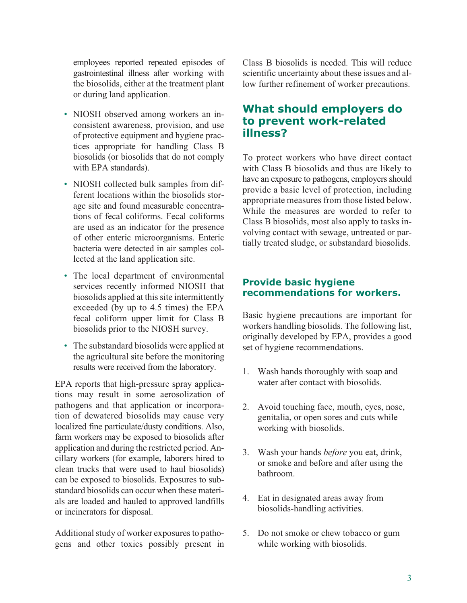employees reported repeated episodes of gastrointestinal illness after working with the biosolids, either at the treatment plant or during land application.

- NIOSH observed among workers an inconsistent awareness, provision, and use of protective equipment and hygiene practices appropriate for handling Class B biosolids (or biosolids that do not comply with EPA standards).
- NIOSH collected bulk samples from different locations within the biosolids storage site and found measurable concentrations of fecal coliforms. Fecal coliforms are used as an indicator for the presence of other enteric microorganisms. Enteric bacteria were detected in air samples collected at the land application site.
- The local department of environmental services recently informed NIOSH that biosolids applied at this site intermittently exceeded (by up to 4.5 times) the EPA fecal coliform upper limit for Class B biosolids prior to the NIOSH survey.
- The substandard biosolids were applied at the agricultural site before the monitoring results were received from the laboratory.

EPA reports that high-pressure spray applications may result in some aerosolization of pathogens and that application or incorporation of dewatered biosolids may cause very localized fine particulate/dusty conditions. Also, farm workers may be exposed to biosolids after application and during the restricted period. Ancillary workers (for example, laborers hired to clean trucks that were used to haul biosolids) can be exposed to biosolids. Exposures to substandard biosolids can occur when these materials are loaded and hauled to approved landfills or incinerators for disposal.

Additional study of worker exposures to pathogens and other toxics possibly present in Class B biosolids is needed. This will reduce scientific uncertainty about these issues and allow further refinement of worker precautions.

### **What should employers do to prevent work-related illness?**

To protect workers who have direct contact with Class B biosolids and thus are likely to have an exposure to pathogens, employers should provide a basic level of protection, including appropriate measures from those listed below. While the measures are worded to refer to Class B biosolids, most also apply to tasks involving contact with sewage, untreated or partially treated sludge, or substandard biosolids.

#### **Provide basic hygiene recommendations for workers.**

Basic hygiene precautions are important for workers handling biosolids. The following list, originally developed by EPA, provides a good set of hygiene recommendations.

- 1. Wash hands thoroughly with soap and water after contact with biosolids.
- 2. Avoid touching face, mouth, eyes, nose, genitalia, or open sores and cuts while working with biosolids.
- 3. Wash your hands *before* you eat, drink, or smoke and before and after using the bathroom.
- 4. Eat in designated areas away from biosolids-handling activities.
- 5. Do not smoke or chew tobacco or gum while working with biosolids.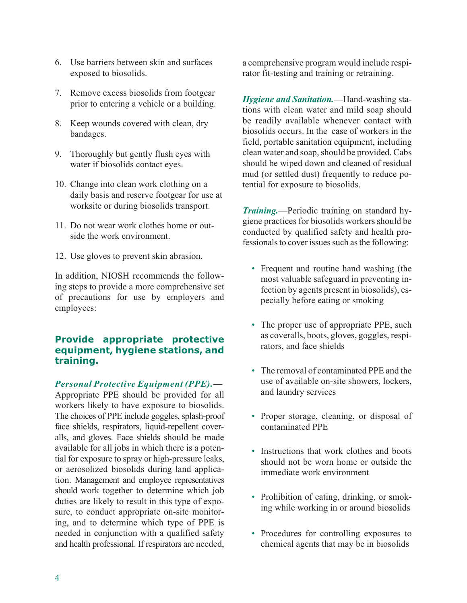- 6. Use barriers between skin and surfaces exposed to biosolids.
- 7. Remove excess biosolids from footgear prior to entering a vehicle or a building.
- 8. Keep wounds covered with clean, dry bandages.
- 9. Thoroughly but gently flush eyes with water if biosolids contact eyes.
- 10. Change into clean work clothing on a daily basis and reserve footgear for use at worksite or during biosolids transport.
- 11. Do not wear work clothes home or outside the work environment.
- 12. Use gloves to prevent skin abrasion.

In addition, NIOSH recommends the following steps to provide a more comprehensive set of precautions for use by employers and employees:

#### **Provide appropriate protective equipment, hygiene stations, and training.**

#### *Personal Protective Equipment (PPE).—*

Appropriate PPE should be provided for all workers likely to have exposure to biosolids. The choices of PPE include goggles, splash-proof face shields, respirators, liquid-repellent coveralls, and gloves. Face shields should be made available for all jobs in which there is a potential for exposure to spray or high-pressure leaks, or aerosolized biosolids during land application. Management and employee representatives should work together to determine which job duties are likely to result in this type of exposure, to conduct appropriate on-site monitoring, and to determine which type of PPE is needed in conjunction with a qualified safety and health professional. If respirators are needed,

a comprehensive program would include respirator fit-testing and training or retraining.

*Hygiene and Sanitation.—*Hand-washing stations with clean water and mild soap should be readily available whenever contact with biosolids occurs. In the case of workers in the field, portable sanitation equipment, including clean water and soap, should be provided. Cabs should be wiped down and cleaned of residual mud (or settled dust) frequently to reduce potential for exposure to biosolids.

*Training.*—Periodic training on standard hygiene practices for biosolids workers should be conducted by qualified safety and health professionals to cover issues such as the following:

- Frequent and routine hand washing (the most valuable safeguard in preventing infection by agents present in biosolids), especially before eating or smoking
- The proper use of appropriate PPE, such as coveralls, boots, gloves, goggles, respirators, and face shields
- The removal of contaminated PPE and the use of available on-site showers, lockers, and laundry services
- Proper storage, cleaning, or disposal of contaminated PPE
- Instructions that work clothes and boots should not be worn home or outside the immediate work environment
- Prohibition of eating, drinking, or smoking while working in or around biosolids
- Procedures for controlling exposures to chemical agents that may be in biosolids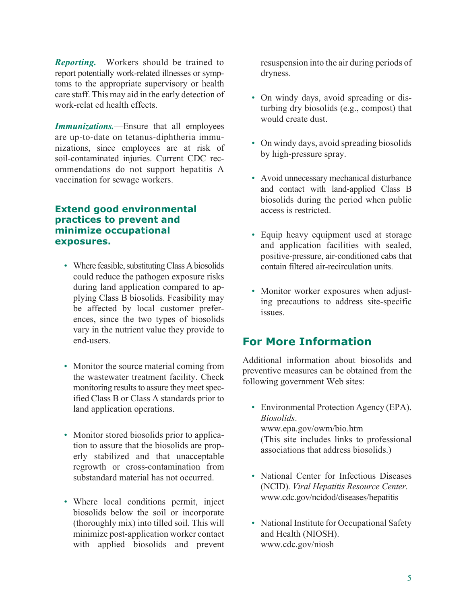*Reporting.*—Workers should be trained to report potentially work-related illnesses or symptoms to the appropriate supervisory or health care staff. This may aid in the early detection of work-relat ed health effects.

*Immunizations.*—Ensure that all employees are up-to-date on tetanus-diphtheria immunizations, since employees are at risk of soil-contaminated injuries. Current CDC recommendations do not support hepatitis A vaccination for sewage workers.

#### **Extend good environmental practices to prevent and minimize occupational exposures.**

- Where feasible, substituting Class A biosolids could reduce the pathogen exposure risks during land application compared to applying Class B biosolids. Feasibility may be affected by local customer preferences, since the two types of biosolids vary in the nutrient value they provide to end-users.
- Monitor the source material coming from the wastewater treatment facility. Check monitoring results to assure they meet specified Class B or Class A standards prior to land application operations.
- Monitor stored biosolids prior to application to assure that the biosolids are properly stabilized and that unacceptable regrowth or cross-contamination from substandard material has not occurred.
- Where local conditions permit, inject biosolids below the soil or incorporate (thoroughly mix) into tilled soil. This will minimize post-application worker contact with applied biosolids and prevent

resuspension into the air during periods of dryness.

- On windy days, avoid spreading or disturbing dry biosolids (e.g., compost) that would create dust.
- On windy days, avoid spreading biosolids by high-pressure spray.
- Avoid unnecessary mechanical disturbance and contact with land-applied Class B biosolids during the period when public access is restricted.
- Equip heavy equipment used at storage and application facilities with sealed, positive-pressure, air-conditioned cabs that contain filtered air-recirculation units.
- Monitor worker exposures when adjusting precautions to address site-specific issues.

# **For More Information**

Additional information about biosolids and preventive measures can be obtained from the following government Web sites:

- Environmental Protection Agency (EPA). *Biosolids*. www.epa.gov/owm/bio.htm (This site includes links to professional associations that address biosolids.)
- National Center for Infectious Diseases (NCID). *Viral Hepatitis Resource Center*. www.cdc.gov/ncidod/diseases/hepatitis
- National Institute for Occupational Safety and Health (NIOSH). www.cdc.gov/niosh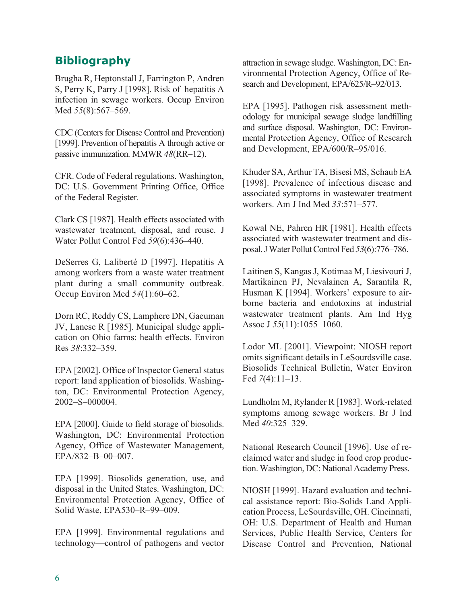# **Bibliography**

Brugha R, Heptonstall J, Farrington P, Andren S, Perry K, Parry J [1998]. Risk of hepatitis A infection in sewage workers. Occup Environ Med *55*(8):567–569.

CDC (Centers for Disease Control and Prevention) [1999]. Prevention of hepatitis A through active or passive immunization. MMWR *48*(RR–12).

CFR. Code of Federal regulations. Washington, DC: U.S. Government Printing Office, Office of the Federal Register.

Clark CS [1987]. Health effects associated with wastewater treatment, disposal, and reuse. J Water Pollut Control Fed *59*(6):436–440.

DeSerres G, Laliberté D [1997]. Hepatitis A among workers from a waste water treatment plant during a small community outbreak. Occup Environ Med *54*(1):60–62.

Dorn RC, Reddy CS, Lamphere DN, Gaeuman JV, Lanese R [1985]. Municipal sludge application on Ohio farms: health effects. Environ Res *38*:332–359.

EPA [2002]. Office of Inspector General status report: land application of biosolids. Washington, DC: Environmental Protection Agency, 2002–S–000004.

EPA [2000]. Guide to field storage of biosolids. Washington, DC: Environmental Protection Agency, Office of Wastewater Management, EPA/832–B–00–007.

EPA [1999]. Biosolids generation, use, and disposal in the United States. Washington, DC: Environmental Protection Agency, Office of Solid Waste, EPA530–R–99–009.

EPA [1999]. Environmental regulations and technology—control of pathogens and vector

attraction in sewage sludge.Washington, DC: Environmental Protection Agency, Office of Research and Development, EPA/625/R–92/013.

EPA [1995]. Pathogen risk assessment methodology for municipal sewage sludge landfilling and surface disposal. Washington, DC: Environmental Protection Agency, Office of Research and Development, EPA/600/R–95/016.

Khuder SA, Arthur TA, Bisesi MS, Schaub EA [1998]. Prevalence of infectious disease and associated symptoms in wastewater treatment workers. Am J Ind Med *33*:571–577.

Kowal NE, Pahren HR [1981]. Health effects associated with wastewater treatment and disposal. JWater Pollut Control Fed *53*(6):776–786.

Laitinen S, Kangas J, Kotimaa M, Liesivouri J, Martikainen PJ, Nevalainen A, Sarantila R, Husman K [1994]. Workers' exposure to airborne bacteria and endotoxins at industrial wastewater treatment plants. Am Ind Hyg Assoc J *55*(11):1055–1060.

Lodor ML [2001]. Viewpoint: NIOSH report omits significant details in LeSourdsville case. Biosolids Technical Bulletin, Water Environ Fed *7*(4):11–13.

Lundholm M, Rylander R [1983]. Work-related symptoms among sewage workers. Br J Ind Med *40*:325–329.

National Research Council [1996]. Use of reclaimed water and sludge in food crop production.Washington, DC: National Academy Press.

NIOSH [1999]. Hazard evaluation and technical assistance report: Bio-Solids Land Application Process, LeSourdsville, OH. Cincinnati, OH: U.S. Department of Health and Human Services, Public Health Service, Centers for Disease Control and Prevention, National